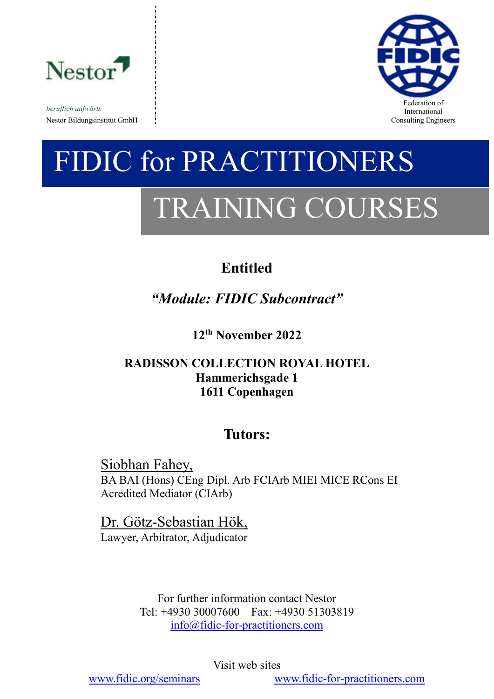

*beruflich aufwärts* Nestor Bildungsinstitut GmbH consulting Engineers and Solution Consulting Engineers and Consulting Engineers and Consulting Engineers and Consulting Engineers and Solution of the Solution of the Solution of the Solution of



# FIDIC for PRACTITIONERS TRAINING COURSES

# **Entitled**

*"Module: FIDIC Subcontract"*

**12th November 2022**

# **RADISSON COLLECTION ROYAL HOTEL Hammerichsgade 1 1611 Copenhagen**

# **Tutors:**

Siobhan Fahey, BA BAI (Hons) CEng Dipl. Arb FCIArb MIEI MICE RCons EI Acredited Mediator (CIArb)

# Dr. Götz-Sebastian Hök,

Lawyer, Arbitrator, Adjudicator

For further information contact Nestor Tel: +4930 30007600 Fax: +4930 51303819 [info@fidic-for-practitioners.com](mailto:info@fidic-for-practitioners.com)

Visit web sites

[www.fidic.org/seminars](http://www.fidic.org/seminars) [www.fidic-for-practitioners.com](http://www.fidic-for-practitioners.com/)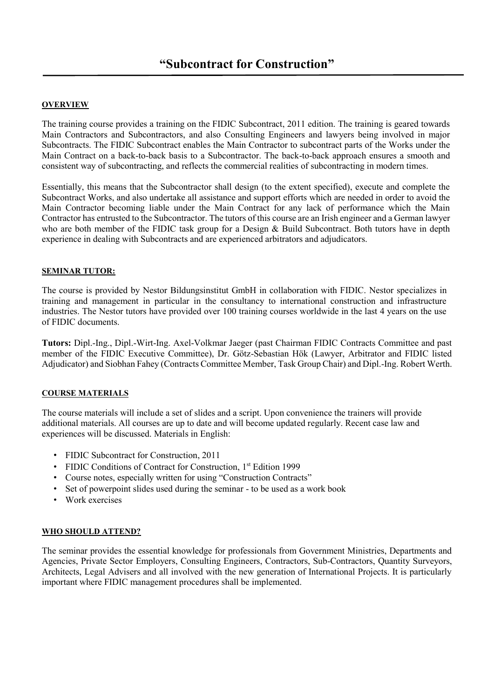# **OVERVIEW**

The training course provides a training on the FIDIC Subcontract, 2011 edition. The training is geared towards Main Contractors and Subcontractors, and also Consulting Engineers and lawyers being involved in major Subcontracts. The FIDIC Subcontract enables the Main Contractor to subcontract parts of the Works under the Main Contract on a back-to-back basis to a Subcontractor. The back-to-back approach ensures a smooth and consistent way of subcontracting, and reflects the commercial realities of subcontracting in modern times.

Essentially, this means that the Subcontractor shall design (to the extent specified), execute and complete the Subcontract Works, and also undertake all assistance and support efforts which are needed in order to avoid the Main Contractor becoming liable under the Main Contract for any lack of performance which the Main Contractor has entrusted to the Subcontractor. The tutors of this course are an Irish engineer and a German lawyer who are both member of the FIDIC task group for a Design & Build Subcontract. Both tutors have in depth experience in dealing with Subcontracts and are experienced arbitrators and adjudicators.

# **SEMINAR TUTOR:**

The course is provided by Nestor Bildungsinstitut GmbH in collaboration with FIDIC. Nestor specializes in training and management in particular in the consultancy to international construction and infrastructure industries. The Nestor tutors have provided over 100 training courses worldwide in the last 4 years on the use of FIDIC documents.

**Tutors:** Dipl.-Ing., Dipl.-Wirt-Ing. Axel-Volkmar Jaeger (past Chairman FIDIC Contracts Committee and past member of the FIDIC Executive Committee), Dr. Götz-Sebastian Hök (Lawyer, Arbitrator and FIDIC listed Adjudicator) and Siobhan Fahey (Contracts Committee Member, Task Group Chair) and Dipl.-Ing. Robert Werth.

# **COURSE MATERIALS**

The course materials will include a set of slides and a script. Upon convenience the trainers will provide additional materials. All courses are up to date and will become updated regularly. Recent case law and experiences will be discussed. Materials in English:

- FIDIC Subcontract for Construction, 2011
- FIDIC Conditions of Contract for Construction, 1<sup>st</sup> Edition 1999
- Course notes, especially written for using "Construction Contracts"
- Set of powerpoint slides used during the seminar to be used as a work book
- Work exercises

# **WHO SHOULD ATTEND?**

The seminar provides the essential knowledge for professionals from Government Ministries, Departments and Agencies, Private Sector Employers, Consulting Engineers, Contractors, Sub-Contractors, Quantity Surveyors, Architects, Legal Advisers and all involved with the new generation of International Projects. It is particularly important where FIDIC management procedures shall be implemented.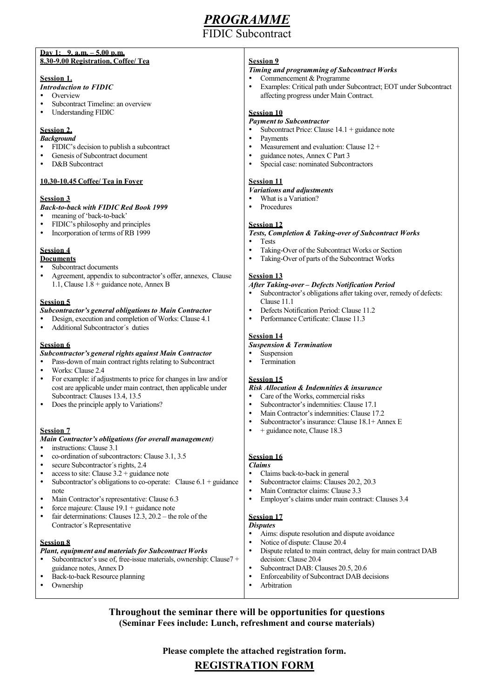# *PROGRAMME*

**IC** Subcontract

#### **Day 1: 9. a.m. – 5.00 p.m. 8.30-9.00 Registration, Coffee/ Tea**

#### **Session 1.**

- *Introduction to FIDIC*
- **Overview**
- Subcontract Timeline: an overview
- Understanding FIDIC

# **Session 2.**

- *Background*
- FIDIC's decision to publish a subcontract Genesis of Subcontract document
- 
- D&B Subcontract

# **10.30-10.45 Coffee/ Tea in Foyer**

# **Session 3**

*Back-to-back with FIDIC Red Book 1999*

- meaning of 'back-to-back'
- FIDIC's philosophy and principles
- Incorporation of terms of RB 1999

# **Session 4**

- **Documents** Subcontract documents
- Agreement, appendix to subcontractor's offer, annexes, Clause 1.1, Clause 1.8 + guidance note, Annex B

# **Session 5**

#### *Subcontractor's general obligations to Main Contractor*

- Design, execution and completion of Works: Clause 4.1
- Additional Subcontractor´s duties

# **Session 6**

## *Subcontractor's general rights against Main Contractor*

- Pass-down of main contract rights relating to Subcontract
- Works: Clause 2.4
- For example: if adjustments to price for changes in law and/or cost are applicable under main contract, then applicable under Subcontract: Clauses 13.4, 13.5
- Does the principle apply to Variations?

# **Session 7**

## *Main Contractor's obligations (for overall management)*

- instructions: Clause 3.1
- co-ordination of subcontractors: Clause 3.1, 3.5
- secure Subcontractor´s rights, 2.4
- access to site: Clause 3.2 + guidance note
- Subcontractor's obligations to co-operate: Clause  $6.1 +$  guidance note
- Main Contractor's representative: Clause 6.3
- force majeure: Clause 19.1 + guidance note
- fair determinations: Clauses 12.3, 20.2 the role of the Contractor´s Representative

## **Session 8**

## *Plant, equipment and materials for Subcontract Works* Subcontractor's use of, free-issue materials, ownership: Clause7 +

- guidance notes, Annex D Back-to-back Resource planning
- Ownership

# **Session 9**

# *Timing and programming of Subcontract Works*

- Commencement & Programme
- Examples: Critical path under Subcontract; EOT under Subcontract affecting progress under Main Contract.

# **Session 10**

- *Payment to Subcontractor* Subcontract Price: Clause 14.1 + guidance note
- Payments
- Measurement and evaluation: Clause 12 +
- guidance notes, Annex C Part 3
- Special case: nominated Subcontractors

# **Session 11**

# *Variations and adjustments*

- What is a Variation?
- Procedures

# **Session 12**

- *Tests, Completion & Taking-over of Subcontract Works*
- Tests
- Taking-Over of the Subcontract Works or Section
- Taking-Over of parts of the Subcontract Works

# **Session 13**

## *After Taking-over – Defects Notification Period*

- Subcontractor's obligations after taking over, remedy of defects: Clause 11.1
- Defects Notification Period: Clause 11.2
- Performance Certificate: Clause 11.3

# **Session 14**

- *Suspension & Termination*
- Suspension
- Termination

# **Session 15**

## *Risk Allocation & Indemnities & insurance*

- Care of the Works, commercial risks
- Subcontractor's indemnities: Clause 17.1
- Main Contractor's indemnities: Clause 17.2
- Subcontractor's insurance: Clause 18.1+ Annex E
- + guidance note, Clause 18.3

# **Session 16**

# *Claims*

- Claims back-to-back in general
- Subcontractor claims: Clauses 20.2, 20.3
- Main Contractor claims: Clause 3.3
- Employer's claims under main contract: Clauses 3.4

# **Session 17**

- *Disputes*
- Aims: dispute resolution and dispute avoidance
- Notice of dispute: Clause 20.4
- Dispute related to main contract, delay for main contract DAB decision: Clause 20.4
- Subcontract DAB: Clauses 20.5, 20.6
- Enforceability of Subcontract DAB decisions
- Arbitration

**Throughout the seminar there will be opportunities for questions (Seminar Fees include: Lunch, refreshment and course materials)**

**Please complete the attached registration form.**

# **REGISTRATION FORM**